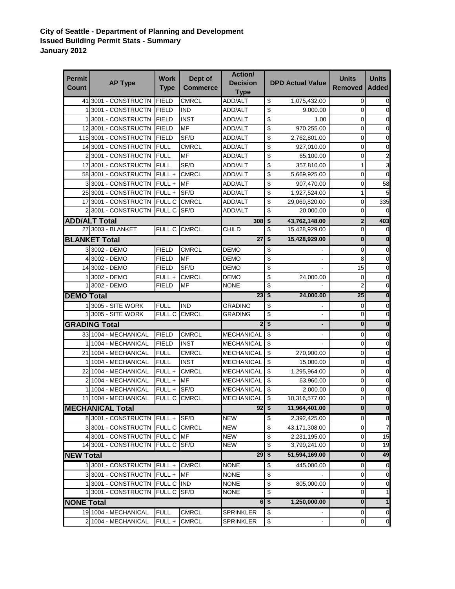## **City of Seattle - Department of Planning and Development Issued Building Permit Stats - Summary January 2012**

| <b>Permit</b>     |                            | <b>Work</b>   | Dept of         | <b>Action/</b>                 |                                      |                              | <b>Units</b>   | <b>Units</b>    |
|-------------------|----------------------------|---------------|-----------------|--------------------------------|--------------------------------------|------------------------------|----------------|-----------------|
| <b>Count</b>      | <b>AP Type</b>             | <b>Type</b>   | <b>Commerce</b> | <b>Decision</b><br><b>Type</b> |                                      | <b>DPD Actual Value</b>      | <b>Removed</b> | <b>Added</b>    |
|                   | 41 3001 - CONSTRUCTN       | <b>FIELD</b>  | <b>CMRCL</b>    | <b>ADD/ALT</b>                 | \$                                   | 1,075,432.00                 | 0              | 0               |
|                   | 13001 - CONSTRUCTN         | <b>FIELD</b>  | <b>IND</b>      | ADD/ALT                        | \$                                   | 9,000.00                     | 0              | $\overline{0}$  |
|                   | 13001 - CONSTRUCTN         | <b>FIELD</b>  | <b>INST</b>     | ADD/ALT                        | \$                                   | 1.00                         | 0              | $\mathbf 0$     |
|                   | 12 3001 - CONSTRUCTN       | <b>FIELD</b>  | <b>MF</b>       | ADD/ALT                        | \$                                   | 970,255.00                   | 0              | 0               |
|                   | 115 3001 - CONSTRUCTN      | <b>FIELD</b>  | SF/D            | ADD/ALT                        | \$                                   | 2,762,801.00                 | 0              | $\mathbf 0$     |
|                   | 14 3001 - CONSTRUCTN       | <b>FULL</b>   | <b>CMRCL</b>    | ADD/ALT                        | \$                                   | 927,010.00                   | 0              | 0               |
|                   | 213001 - CONSTRUCTN        | <b>FULL</b>   | <b>MF</b>       | ADD/ALT                        | \$                                   | 65,100.00                    | 0              | 2               |
|                   | 17 3001 - CONSTRUCTN       | <b>FULL</b>   | SF/D            | ADD/ALT                        | \$                                   | 357,810.00                   | 1              | 3               |
|                   | 58 3001 - CONSTRUCTN       | $FULL +$      | <b>CMRCL</b>    | ADD/ALT                        | \$                                   | 5,669,925.00                 | 0              | 0               |
|                   | 3 3001 - CONSTRUCTN        | FULL+         | <b>MF</b>       | ADD/ALT                        | \$                                   | 907,470.00                   | 0              | 58              |
|                   | 25 3001 - CONSTRUCTN       | FULL+         | SF/D            | ADD/ALT                        | \$                                   | 1,927,524.00                 | $\mathbf{1}$   | 5               |
|                   | 17 3001 - CONSTRUCTN       | <b>FULL C</b> | <b>CMRCL</b>    | ADD/ALT                        | \$                                   | 29,069,820.00                | 0              | 335             |
|                   | 2 3001 - CONSTRUCTN        | <b>FULL C</b> | SF/D            | ADD/ALT                        | \$                                   | 20,000.00                    | 0              | $\Omega$        |
|                   | <b>ADD/ALT Total</b>       |               |                 | 308                            | \$                                   | 43,762,148.00                | $\mathbf{2}$   | 403             |
|                   | 27 3003 - BLANKET          | FULL C        | <b>CMRCL</b>    | CHILD                          | \$                                   | 15,428,929.00                | 0              | 0               |
|                   | <b>BLANKET Total</b>       |               |                 | 27                             | \$                                   | 15,428,929.00                | 0              | 0               |
|                   | 3 3002 - DEMO              | <b>FIELD</b>  | <b>CMRCL</b>    | DEMO                           | \$                                   |                              | 0              | 0               |
|                   | 4 3002 - DEMO              | <b>FIELD</b>  | MF              | DEMO                           | \$                                   | $\qquad \qquad \blacksquare$ | 8              | 0               |
|                   | 14 3002 - DEMO             | <b>FIELD</b>  | SF/D            | DEMO                           | \$                                   |                              | 15             | 0               |
|                   | 1 3002 - DEMO              | FULL +        | <b>CMRCL</b>    | <b>DEMO</b>                    | \$                                   | 24,000.00                    | 0              | 0               |
|                   | 1 3002 - DEMO              | <b>FIELD</b>  | <b>MF</b>       | NONE                           | \$                                   |                              | $\overline{2}$ | $\overline{0}$  |
| <b>DEMO Total</b> |                            |               |                 | 23                             | $\overline{\boldsymbol{\mathsf{s}}}$ | 24,000.00                    | 25             | $\mathbf 0$     |
|                   | 1 3005 - SITE WORK         | <b>FULL</b>   | <b>IND</b>      | <b>GRADING</b>                 | \$                                   |                              | 0              | 0               |
|                   | 1 3005 - SITE WORK         | <b>FULL C</b> | <b>CMRCL</b>    | GRADING                        | \$                                   |                              | 0              | $\mathbf 0$     |
|                   | <b>GRADING Total</b>       |               |                 |                                | 2 <sup>1</sup><br>\$                 |                              | $\pmb{0}$      | 0               |
|                   | 33 1004 - MECHANICAL       | <b>FIELD</b>  | <b>CMRCL</b>    | <b>MECHANICAL</b>              | \$                                   |                              | 0              | 0               |
|                   | 11004 - MECHANICAL         | <b>FIELD</b>  | <b>INST</b>     | MECHANICAL                     | \$                                   |                              | 0              | 0               |
|                   | 21 1004 - MECHANICAL       | <b>FULL</b>   | <b>CMRCL</b>    | MECHANICAL                     | \$                                   | 270,900.00                   | 0              | 0               |
| 1                 | 1004 - MECHANICAL          | <b>FULL</b>   | <b>INST</b>     | <b>MECHANICAL</b>              | \$                                   | 15,000.00                    | $\mathbf 0$    | 0               |
|                   | 22 1004 - MECHANICAL       | FULL +        | <b>CMRCL</b>    | <b>MECHANICAL</b>              | \$                                   | 1,295,964.00                 | 0              | 0               |
|                   | 2 1004 - MECHANICAL        | FULL+         | <b>MF</b>       | <b>MECHANICAL</b>              | \$                                   | 63,960.00                    | 0              | $\mathbf 0$     |
| 1                 | 1004 - MECHANICAL          | $FULL +$      | SF/D            | MECHANICAL                     | \$                                   | 2,000.00                     | 0              | 0               |
|                   | 11 1004 - MECHANICAL       | <b>FULL C</b> | <b>CMRCL</b>    | <b>MECHANICAL</b>              | \$                                   | 10,316,577.00                | 0              | 0               |
|                   | <b>MECHANICAL Total</b>    |               |                 | $92 \, \frac{1}{9}$            |                                      | 11,964,401.00                | $\mathbf 0$    | $\mathbf{0}$    |
|                   | 8 3001 - CONSTRUCTN        | FULL+         | SF/D            | <b>NEW</b>                     | \$                                   | 2,392,425.00                 | 0              | 8               |
|                   | 3 3001 - CONSTRUCTN        | FULL C        | <b>CMRCL</b>    | <b>NEW</b>                     | \$                                   | 43,171,308.00                | 0              | $\overline{7}$  |
|                   | 4 3001 - CONSTRUCTN        | FULL C MF     |                 | <b>NEW</b>                     | \$                                   | 2,231,195.00                 | $\overline{0}$ | 15              |
|                   | 14 3001 - CONSTRUCTN       | FULL C        | SF/D            | <b>NEW</b>                     | \$                                   | 3,799,241.00                 | $\overline{0}$ | $\overline{19}$ |
|                   | <b>NEW Total</b>           |               |                 |                                | 29<br>\$                             | 51,594,169.00                | $\bf{0}$       | 49              |
|                   | 1 3001 - CONSTRUCTN FULL + |               | <b>CMRCL</b>    | <b>NONE</b>                    | \$                                   | 445,000.00                   | 0              | $\mathbf 0$     |
|                   | 3 3001 - CONSTRUCTN        | FULL +        | <b>MF</b>       | <b>NONE</b>                    | \$                                   |                              | $\overline{0}$ | $\mathbf 0$     |
|                   | 13001 - CONSTRUCTN         | <b>FULL C</b> | <b>IND</b>      | <b>NONE</b>                    | \$                                   | 805,000.00                   | $\overline{0}$ | $\pmb{0}$       |
|                   | 1 3001 - CONSTRUCTN        | <b>FULL C</b> | SF/D            | <b>NONE</b>                    | \$                                   |                              | 0              | $\mathbf{1}$    |
| <b>NONE Total</b> |                            |               |                 | 6                              | $\overline{\boldsymbol{\mathsf{s}}}$ | 1,250,000.00                 | $\bf{0}$       | 1               |
|                   | 19 1004 - MECHANICAL       | <b>FULL</b>   | <b>CMRCL</b>    | SPRINKLER                      | \$                                   |                              | $\overline{0}$ | $\mathbf 0$     |
|                   | 2 1004 - MECHANICAL        | FULL +        | <b>CMRCL</b>    | SPRINKLER                      | \$                                   |                              | $\overline{0}$ | $\mathbf 0$     |